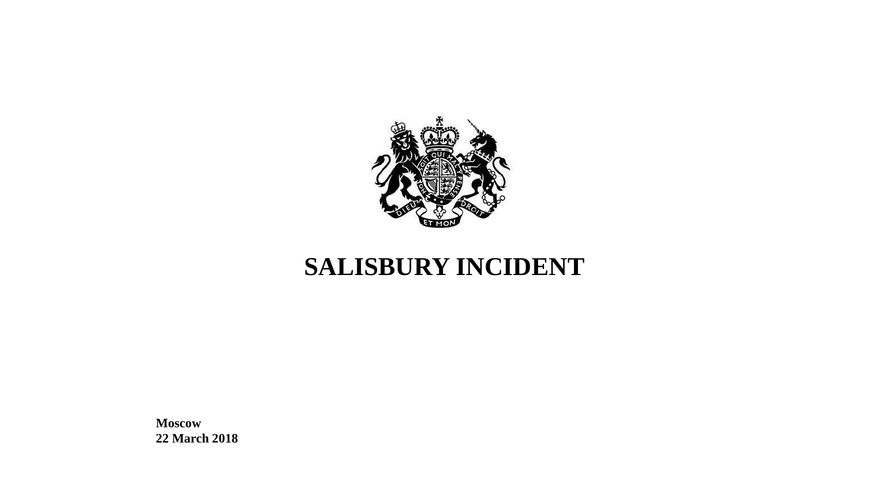

# **SALISBURY INCIDENT**

**Moscow 22 March 2018**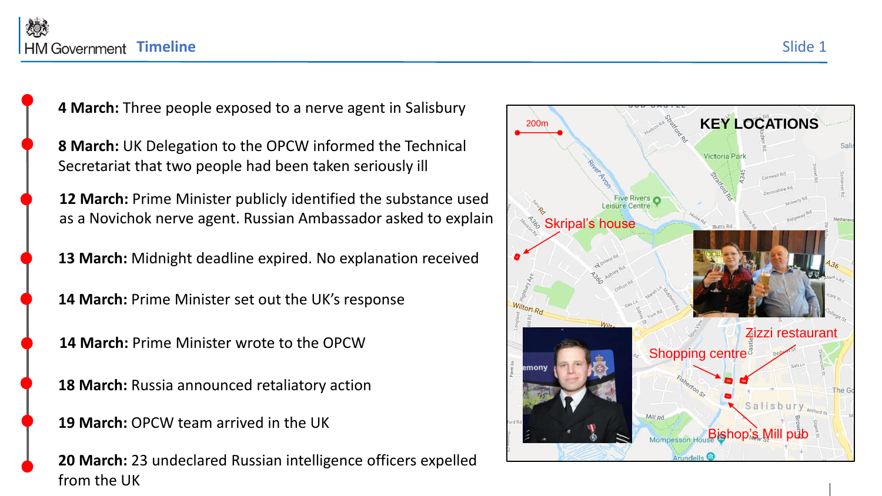**4 March:** Three people exposed to a nerve agent in Salisbury

**8 March:** UK Delegation to the OPCW informed the Technical Secretariat that two people had been taken seriously ill

**12 March:** Prime Minister publicly identified the substance used as a Novichok nerve agent. Russian Ambassador asked to explain  $\bigcap_{s\in S} S_{\text{kripal's house}}$ 

**13 March:** Midnight deadline expired. No explanation received

**14 March:** Prime Minister set out the UK's response

**14 March:** Prime Minister wrote to the OPCW

**18 March:** Russia announced retaliatory action

**19 March:** OPCW team arrived in the UK

**20 March:** 23 undeclared Russian intelligence officers expelled from the UK

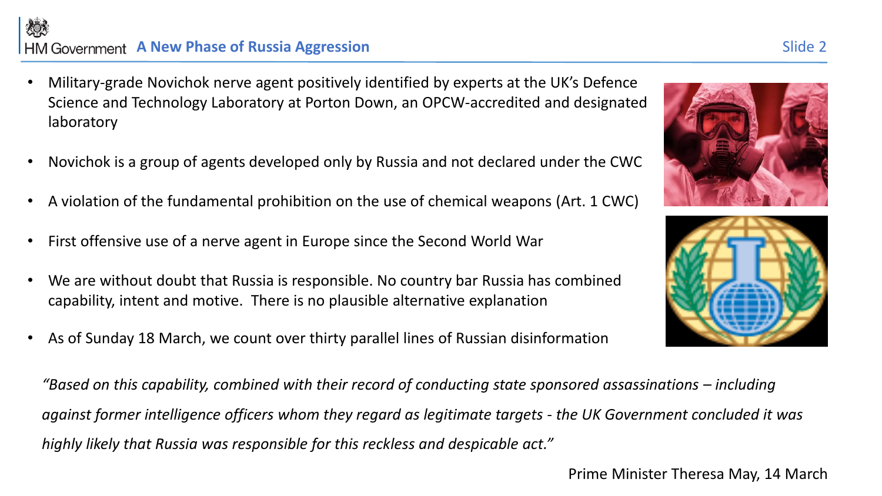# **A HM Government A New Phase of Russia Aggression** Sinde 2

烦

- Military-grade Novichok nerve agent positively identified by experts at the UK's Defence Science and Technology Laboratory at Porton Down, an OPCW-accredited and designated laboratory
- Novichok is a group of agents developed only by Russia and not declared under the CWC
- A violation of the fundamental prohibition on the use of chemical weapons (Art. 1 CWC)
- First offensive use of a nerve agent in Europe since the Second World War
- We are without doubt that Russia is responsible. No country bar Russia has combined capability, intent and motive. There is no plausible alternative explanation
- As of Sunday 18 March, we count over thirty parallel lines of Russian disinformation

*"Based on this capability, combined with their record of conducting state sponsored assassinations – including against former intelligence officers whom they regard as legitimate targets - the UK Government concluded it was highly likely that Russia was responsible for this reckless and despicable act."*





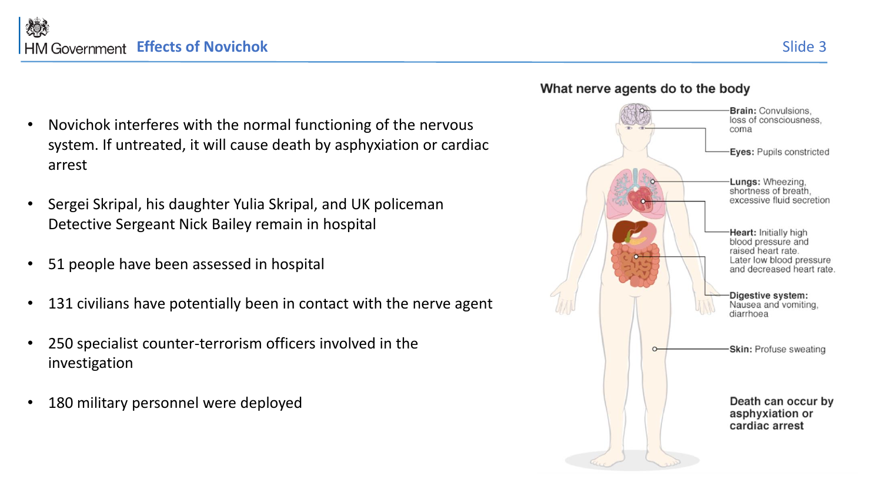- Novichok interferes with the normal functioning of the nervous system. If untreated, it will cause death by asphyxiation or cardiac arrest
- Sergei Skripal, his daughter Yulia Skripal, and UK policeman Detective Sergeant Nick Bailey remain in hospital
- 51 people have been assessed in hospital
- 131 civilians have potentially been in contact with the nerve agent
- 250 specialist counter-terrorism officers involved in the investigation
- 180 military personnel were deployed



### What nerve agents do to the body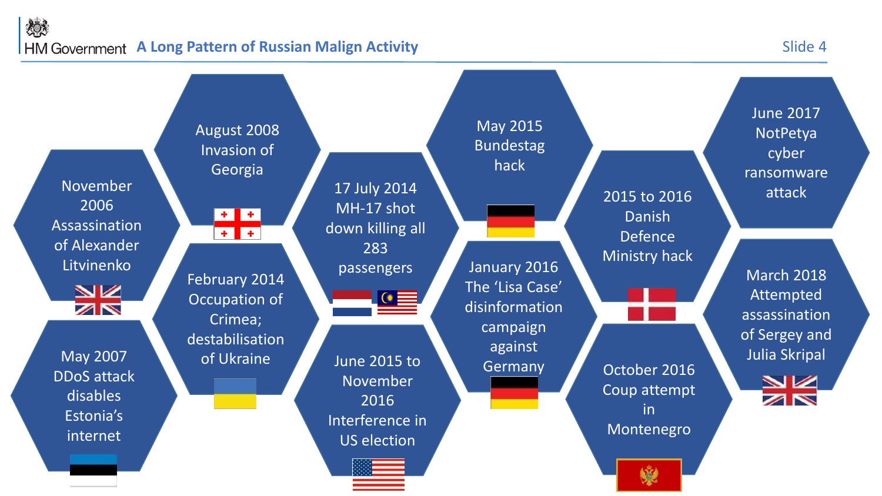## 炒 **A Long Pattern of Russian Malign Activity** Slide 4